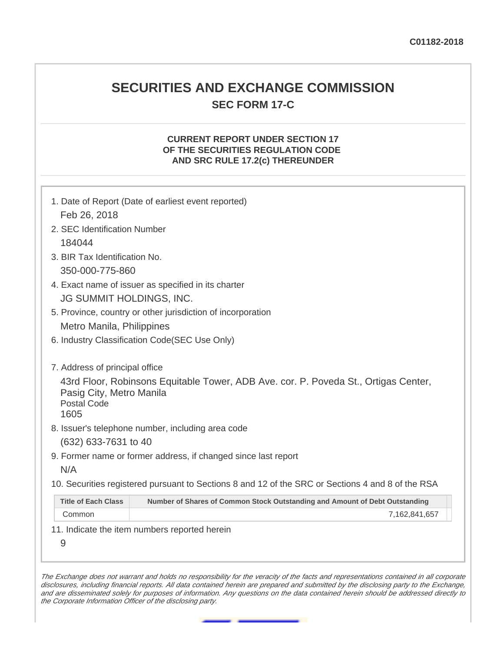## **SECURITIES AND EXCHANGE COMMISSION SEC FORM 17-C**

## **CURRENT REPORT UNDER SECTION 17 OF THE SECURITIES REGULATION CODE AND SRC RULE 17.2(c) THEREUNDER**

|                                                        | 1. Date of Report (Date of earliest event reported)                                               |
|--------------------------------------------------------|---------------------------------------------------------------------------------------------------|
| Feb 26, 2018                                           |                                                                                                   |
| 2. SEC Identification Number                           |                                                                                                   |
| 184044                                                 |                                                                                                   |
| 3. BIR Tax Identification No.                          |                                                                                                   |
| 350-000-775-860                                        |                                                                                                   |
|                                                        | 4. Exact name of issuer as specified in its charter                                               |
| JG SUMMIT HOLDINGS, INC.                               |                                                                                                   |
|                                                        | 5. Province, country or other jurisdiction of incorporation                                       |
| Metro Manila, Philippines                              |                                                                                                   |
|                                                        | 6. Industry Classification Code(SEC Use Only)                                                     |
| 7. Address of principal office                         |                                                                                                   |
| Pasig City, Metro Manila<br><b>Postal Code</b><br>1605 | 43rd Floor, Robinsons Equitable Tower, ADB Ave. cor. P. Poveda St., Ortigas Center,               |
|                                                        | 8. Issuer's telephone number, including area code                                                 |
| (632) 633-7631 to 40                                   |                                                                                                   |
|                                                        | 9. Former name or former address, if changed since last report                                    |
| N/A                                                    |                                                                                                   |
|                                                        | 10. Securities registered pursuant to Sections 8 and 12 of the SRC or Sections 4 and 8 of the RSA |
| <b>Title of Each Class</b>                             | Number of Shares of Common Stock Outstanding and Amount of Debt Outstanding                       |
| Common                                                 | 7,162,841,657                                                                                     |
|                                                        | 11. Indicate the item numbers reported herein                                                     |

The Exchange does not warrant and holds no responsibility for the veracity of the facts and representations contained in all corporate disclosures, including financial reports. All data contained herein are prepared and submitted by the disclosing party to the Exchange, and are disseminated solely for purposes of information. Any questions on the data contained herein should be addressed directly to the Corporate Information Officer of the disclosing party.